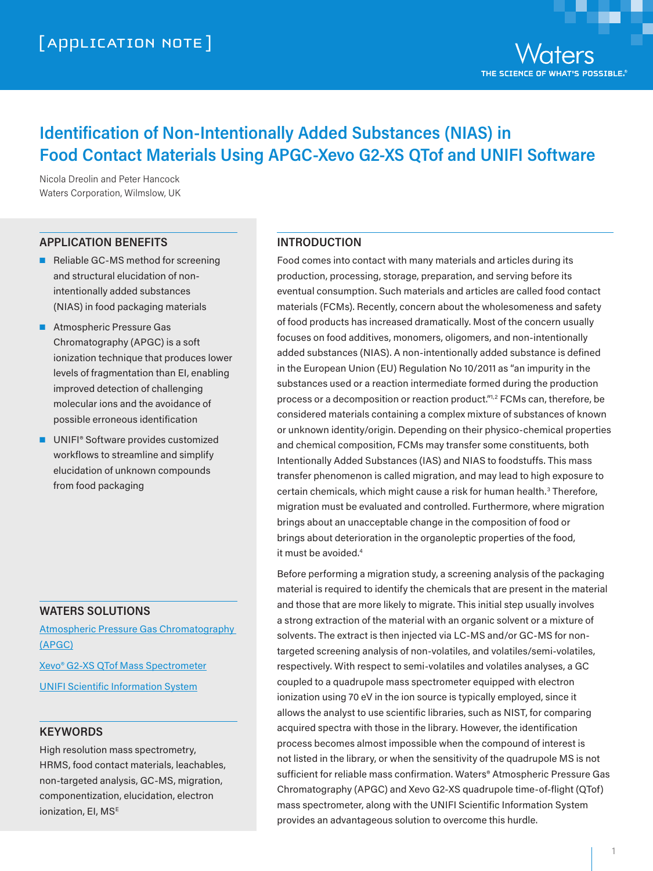

# **Identification of Non-Intentionally Added Substances (NIAS) in Food Contact Materials Using APGC-Xevo G2-XS QTof and UNIFI Software**

Nicola Dreolin and Peter Hancock Waters Corporation, Wilmslow, UK

## **APPLICATION BENEFITS**

- Reliable GC-MS method for screening and structural elucidation of nonintentionally added substances (NIAS) in food packaging materials
- Atmospheric Pressure Gas Chromatography (APGC) is a soft ionization technique that produces lower levels of fragmentation than EI, enabling improved detection of challenging molecular ions and the avoidance of possible erroneous identification
- UNIFI<sup>®</sup> Software provides customized workflows to streamline and simplify elucidation of unknown compounds from food packaging

### **WATERS SOLUTIONS**

[Atmospheric Pressure Gas Chromatography](http://www.waters.com/waters/nav.htm?cid=10100362)  [\(APGC\)](http://www.waters.com/waters/nav.htm?cid=10100362)

[Xevo® G2-XS QTof Mass](http://www.waters.com/waters/nav.htm?cid=134798183) Spectrometer

[UNIFI Scientific Information](http://www.waters.com/waters/en_US/UNIFI-Scientific-Information-System/nav.htm?cid=134801648) System

#### **KEYWORDS**

High resolution mass spectrometry, HRMS, food contact materials, leachables, non-targeted analysis, GC-MS, migration, componentization, elucidation, electron ionization, EI, MSE

## **INTRODUCTION**

Food comes into contact with many materials and articles during its production, processing, storage, preparation, and serving before its eventual consumption. Such materials and articles are called food contact materials (FCMs). Recently, concern about the wholesomeness and safety of food products has increased dramatically. Most of the concern usually focuses on food additives, monomers, oligomers, and non-intentionally added substances (NIAS). A non-intentionally added substance is defined in the European Union (EU) Regulation No 10/2011 as "an impurity in the substances used or a reaction intermediate formed during the production process or a decomposition or reaction product."<sup>1,2</sup> FCMs can, therefore, be considered materials containing a complex mixture of substances of known or unknown identity/origin. Depending on their physico-chemical properties and chemical composition, FCMs may transfer some constituents, both Intentionally Added Substances (IAS) and NIAS to foodstuffs. This mass transfer phenomenon is called migration, and may lead to high exposure to certain chemicals, which might cause a risk for human health.<sup>3</sup> Therefore, migration must be evaluated and controlled. Furthermore, where migration brings about an unacceptable change in the composition of food or brings about deterioration in the organoleptic properties of the food, it must be avoided.4

Before performing a migration study, a screening analysis of the packaging material is required to identify the chemicals that are present in the material and those that are more likely to migrate. This initial step usually involves a strong extraction of the material with an organic solvent or a mixture of solvents. The extract is then injected via LC-MS and/or GC-MS for nontargeted screening analysis of non-volatiles, and volatiles/semi-volatiles, respectively. With respect to semi-volatiles and volatiles analyses, a GC coupled to a quadrupole mass spectrometer equipped with electron ionization using 70 eV in the ion source is typically employed, since it allows the analyst to use scientific libraries, such as NIST, for comparing acquired spectra with those in the library. However, the identification process becomes almost impossible when the compound of interest is not listed in the library, or when the sensitivity of the quadrupole MS is not sufficient for reliable mass confirmation. Waters® Atmospheric Pressure Gas Chromatography (APGC) and Xevo G2-XS quadrupole time-of-flight (QTof) mass spectrometer, along with the UNIFI Scientific Information System provides an advantageous solution to overcome this hurdle.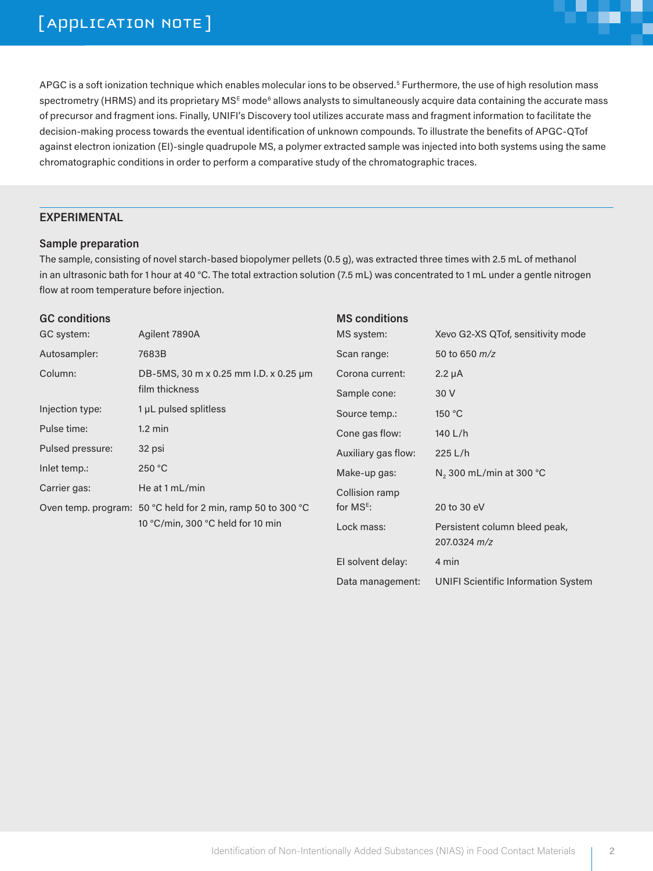H.

2

APGC is a soft ionization technique which enables molecular ions to be observed.<sup>5</sup> Furthermore, the use of high resolution mass spectrometry (HRMS) and its proprietary MS<sup>E</sup> mode<sup>6</sup> allows analysts to simultaneously acquire data containing the accurate mass of precursor and fragment ions. Finally, UNIFI's Discovery tool utilizes accurate mass and fragment information to facilitate the decision-making process towards the eventual identification of unknown compounds. To illustrate the benefits of APGC-QTof against electron ionization (EI)-single quadrupole MS, a polymer extracted sample was injected into both systems using the same chromatographic conditions in order to perform a comparative study of the chromatographic traces.

## **EXPERIMENTAL**

### **Sample preparation**

The sample, consisting of novel starch-based biopolymer pellets (0.5 g), was extracted three times with 2.5 mL of methanol in an ultrasonic bath for 1 hour at 40 °C. The total extraction solution (7.5 mL) was concentrated to 1 mL under a gentle nitrogen flow at room temperature before injection.

**MS conditions** 

#### **GC conditions**

| GC system:       | Agilent 7890A                                                                                    | MS system:          | Xevo G2-XS QTof, sensitivity mode               |  |
|------------------|--------------------------------------------------------------------------------------------------|---------------------|-------------------------------------------------|--|
| Autosampler:     | 7683B                                                                                            | Scan range:         | 50 to 650 $m/z$                                 |  |
| Column:          | DB-5MS, 30 m x 0.25 mm I.D. x 0.25 um                                                            | Corona current:     | $2.2 \mu A$                                     |  |
|                  | film thickness                                                                                   | Sample cone:        | 30 V                                            |  |
| Injection type:  | 1 µL pulsed splitless                                                                            | Source temp.:       | 150 °C                                          |  |
| Pulse time:      | $1.2 \text{ min}$                                                                                | Cone gas flow:      | 140 L/h                                         |  |
| Pulsed pressure: | 32 psi                                                                                           | Auxiliary gas flow: | 225 L/h                                         |  |
| Inlet temp.:     | 250 °C                                                                                           | Make-up gas:        | $N2$ 300 mL/min at 300 °C                       |  |
| Carrier gas:     | He at 1 mL/min                                                                                   | Collision ramp      |                                                 |  |
|                  | Oven temp. program: 50 °C held for 2 min, ramp 50 to 300 °C<br>10 °C/min, 300 °C held for 10 min | for $MS^E$ :        | 20 to 30 eV                                     |  |
|                  |                                                                                                  | Lock mass:          | Persistent column bleed peak,<br>207.0324 $m/z$ |  |

EI solvent delay: 4 min

Data management: UNIFI Scientific Information System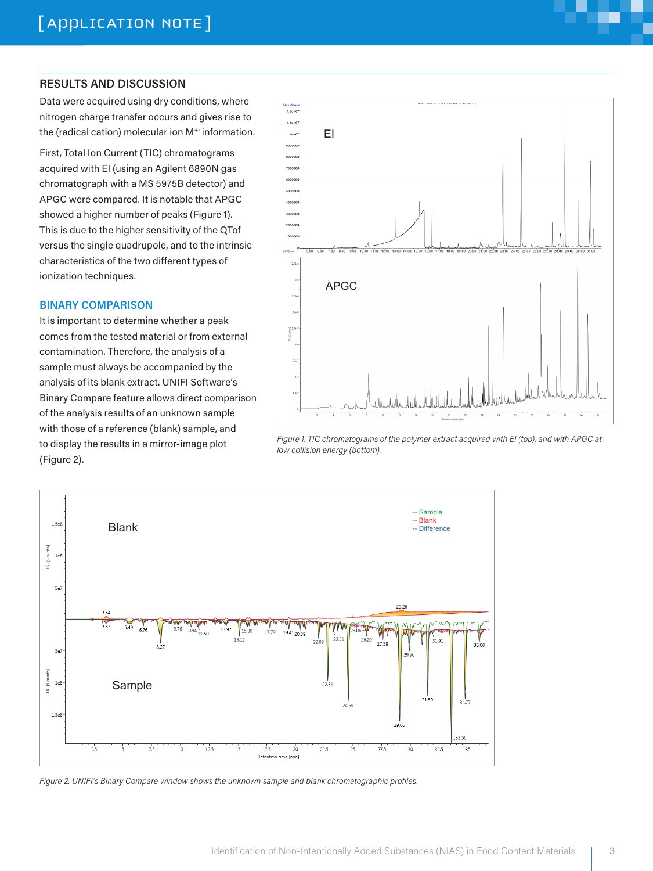#### **RESULTS AND DISCUSSION**

Data were acquired using dry conditions, where nitrogen charge transfer occurs and gives rise to the (radical cation) molecular ion M<sup>+</sup> information.

First, Total Ion Current (TIC) chromatograms acquired with EI (using an Agilent 6890N gas chromatograph with a MS 5975B detector) and APGC were compared. It is notable that APGC showed a higher number of peaks (Figure 1). This is due to the higher sensitivity of the QTof versus the single quadrupole, and to the intrinsic characteristics of the two different types of ionization techniques.

#### **BINARY COMPARISON**

It is important to determine whether a peak comes from the tested material or from external contamination. Therefore, the analysis of a sample must always be accompanied by the analysis of its blank extract. UNIFI Software's Binary Compare feature allows direct comparison of the analysis results of an unknown sample with those of a reference (blank) sample, and to display the results in a mirror-image plot (Figure 2).



*Figure 1. TIC chromatograms of the polymer extract acquired with EI (top), and with APGC at low collision energy (bottom).*



*Figure 2. UNIFI's Binary Compare window shows the unknown sample and blank chromatographic profiles.*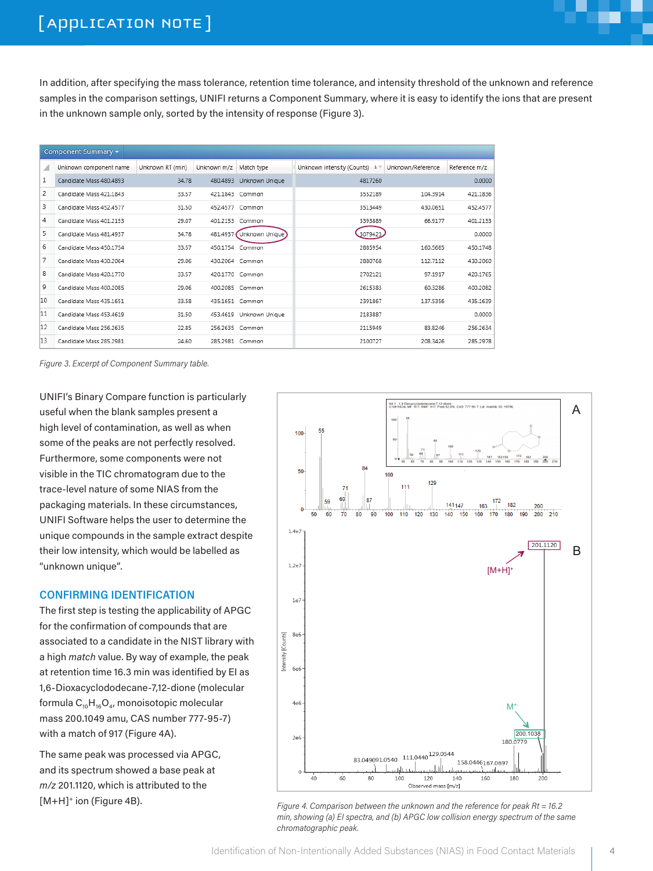# [ APPLICATION NOTE ]

In addition, after specifying the mass tolerance, retention time tolerance, and intensity threshold of the unknown and reference samples in the comparison settings, UNIFI returns a Component Summary, where it is easy to identify the ions that are present in the unknown sample only, sorted by the intensity of response (Figure 3).

|    | Component Summary +     |                  |             |                 |                                |                   |               |  |  |
|----|-------------------------|------------------|-------------|-----------------|--------------------------------|-------------------|---------------|--|--|
| ◢  | Unknown component name  | Unknown RT (min) | Unknown m/z | Match type      | Unknown intensity (Counts) 1 = | Unknown/Reference | Reference m/z |  |  |
| 1  | Candidate Mass 480.4893 | 34.78            | 480.4893    | Unknown Unique  | 4817260                        |                   | 0.0000        |  |  |
| 2  | Candidate Mass 421.1843 | 33.57            |             | 421.1843 Common | 3552189                        | 104.3914          | 421.1836      |  |  |
| 3  | Candidate Mass 452.4577 | 31.50            |             | 452.4577 Common | 3513449                        | 430.0651          | 452.4577      |  |  |
| 4  | Candidate Mass 401.2153 | 29.07            | 401.2153    | Common          | 3393889                        | 66.9177           | 401.2153      |  |  |
| 5  | Candidate Mass 481.4937 | 34.78            | 481.4937    | Unknown Unique  | 3079423                        |                   | 0.0000        |  |  |
| 6  | Candidate Mass 450.1754 | 33.57            |             | 450.1754 Common | 2885954                        | 160.5685          | 450.1748      |  |  |
| 7  | Candidate Mass 430.2064 | 29.06            |             | 430.2064 Common | 2880768                        | 112.7112          | 430.2060      |  |  |
| 8  | Candidate Mass 420.1770 | 33.57            |             | 420.1770 Common | 2702121                        | 97.1917           | 420.1765      |  |  |
| 9  | Candidate Mass 400.2085 | 29.06            |             | 400.2085 Common | 2615383                        | 60.3286           | 400.2082      |  |  |
| 10 | Candidate Mass 435.1651 | 33.58            |             | 435.1651 Common | 2391867                        | 137.5356          | 435.1639      |  |  |
| 11 | Candidate Mass 453.4619 | 31.50            | 453,4619    | Unknown Unique  | 2183887                        |                   | 0.0000        |  |  |
| 12 | Candidate Mass 256.2635 | 22.85            |             | 256.2635 Common | 2115949                        | 83.8246           | 256.2634      |  |  |
| 13 | Candidate Mass 285,2981 | 24.60            |             | 285.2981 Common | 2100727                        | 208.3426          | 285.2978      |  |  |

*Figure 3. Excerpt of Component Summary table.*

UNIFI's Binary Compare function is particularly useful when the blank samples present a high level of contamination, as well as when some of the peaks are not perfectly resolved. Furthermore, some components were not visible in the TIC chromatogram due to the trace-level nature of some NIAS from the packaging materials. In these circumstances, UNIFI Software helps the user to determine the unique compounds in the sample extract despite their low intensity, which would be labelled as "unknown unique".

#### **CONFIRMING IDENTIFICATION**

The first step is testing the applicability of APGC for the confirmation of compounds that are associated to a candidate in the NIST library with a high *match* value. By way of example, the peak at retention time 16.3 min was identified by EI as 1,6-Dioxacyclododecane-7,12-dione (molecular formula  $C_{10}H_{16}O_{4}$ , monoisotopic molecular mass 200.1049 amu, CAS number 777-95-7) with a match of 917 (Figure 4A).

The same peak was processed via APGC, and its spectrum showed a base peak at *m/z* 201.1120, which is attributed to the  $[M+H]$ <sup>+</sup> ion (Figure 4B).



*Figure 4. Comparison between the unknown and the reference for peak Rt = 16.2 min, showing (a) EI spectra, and (b) APGC low collision energy spectrum of the same chromatographic peak.*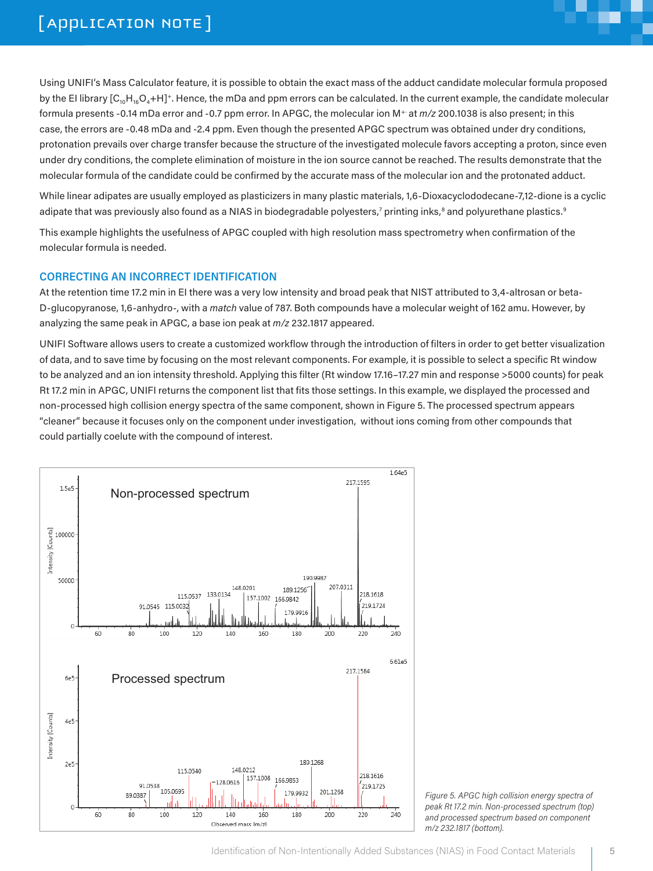Using UNIFI's Mass Calculator feature, it is possible to obtain the exact mass of the adduct candidate molecular formula proposed by the EI library  $[C_{10}H_{16}O_4+H]^+$ . Hence, the mDa and ppm errors can be calculated. In the current example, the candidate molecular formula presents -0.14 mDa error and -0.7 ppm error. In APGC, the molecular ion M<sup>+</sup> at  $m/z$  200.1038 is also present; in this case, the errors are -0.48 mDa and -2.4 ppm. Even though the presented APGC spectrum was obtained under dry conditions, protonation prevails over charge transfer because the structure of the investigated molecule favors accepting a proton, since even under dry conditions, the complete elimination of moisture in the ion source cannot be reached. The results demonstrate that the molecular formula of the candidate could be confirmed by the accurate mass of the molecular ion and the protonated adduct.

While linear adipates are usually employed as plasticizers in many plastic materials, 1,6-Dioxacyclododecane-7,12-dione is a cyclic adipate that was previously also found as a NIAS in biodegradable polyesters,<sup>7</sup> printing inks,<sup>8</sup> and polyurethane plastics.<sup>9</sup>

This example highlights the usefulness of APGC coupled with high resolution mass spectrometry when confirmation of the molecular formula is needed.

#### **CORRECTING AN INCORRECT IDENTIFICATION**

At the retention time 17.2 min in EI there was a very low intensity and broad peak that NIST attributed to 3,4-altrosan or beta-D-glucopyranose, 1,6-anhydro-, with a *match* value of 787. Both compounds have a molecular weight of 162 amu. However, by analyzing the same peak in APGC, a base ion peak at *m/z* 232.1817 appeared.

UNIFI Software allows users to create a customized workflow through the introduction of filters in order to get better visualization of data, and to save time by focusing on the most relevant components. For example, it is possible to select a specific Rt window to be analyzed and an ion intensity threshold. Applying this filter (Rt window 17.16–17.27 min and response >5000 counts) for peak Rt 17.2 min in APGC, UNIFI returns the component list that fits those settings. In this example, we displayed the processed and non-processed high collision energy spectra of the same component, shown in Figure 5. The processed spectrum appears "cleaner" because it focuses only on the component under investigation, without ions coming from other compounds that could partially coelute with the compound of interest.



*Figure 5. APGC high collision energy spectra of peak Rt 17.2 min. Non-processed spectrum (top) and processed spectrum based on component m/z 232.1817 (bottom).* 

**The Second**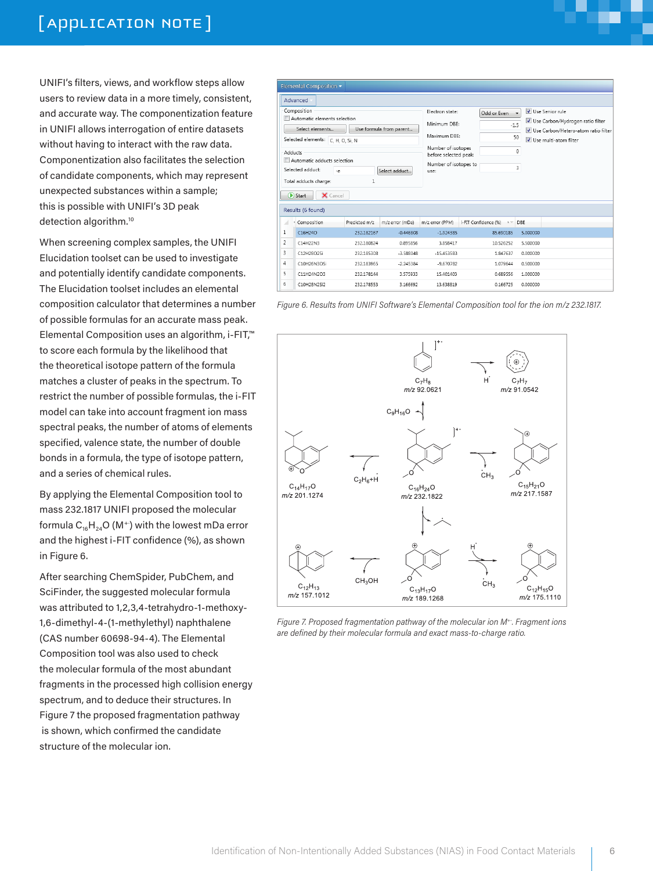## [ APPLICATION NOTE ]

UNIFI's filters, views, and workflow steps allow users to review data in a more timely, consistent, and accurate way. The componentization feature in UNIFI allows interrogation of entire datasets without having to interact with the raw data. Componentization also facilitates the selection of candidate components, which may represent unexpected substances within a sample; this is possible with UNIFI's 3D peak detection algorithm.<sup>10</sup>

When screening complex samples, the UNIFI Elucidation toolset can be used to investigate and potentially identify candidate components. The Elucidation toolset includes an elemental composition calculator that determines a number of possible formulas for an accurate mass peak. Elemental Composition uses an algorithm, i-FIT,™ to score each formula by the likelihood that the theoretical isotope pattern of the formula matches a cluster of peaks in the spectrum. To restrict the number of possible formulas, the i-FIT model can take into account fragment ion mass spectral peaks, the number of atoms of elements specified, valence state, the number of double bonds in a formula, the type of isotope pattern, and a series of chemical rules.

By applying the Elemental Composition tool to mass 232.1817 UNIFI proposed the molecular formula  $C_{16}H_{24}O$  (M<sup>+</sup>) with the lowest mDa error and the highest i-FIT confidence (%), as shown in Figure 6.

After searching ChemSpider, PubChem, and SciFinder, the suggested molecular formula was attributed to 1,2,3,4-tetrahydro-1-methoxy-1,6-dimethyl-4-(1-methylethyl) naphthalene (CAS number 60698-94-4). The Elemental Composition tool was also used to check the molecular formula of the most abundant fragments in the processed high collision energy spectrum, and to deduce their structures. In Figure 7 the proposed fragmentation pathway is shown, which confirmed the candidate structure of the molecular ion.



*Figure 6. Results from UNIFI Software's Elemental Composition tool for the ion m/z 232.1817.*



*Figure 7. Proposed fragmentation pathway of the molecular ion M+*· *. Fragment ions are defined by their molecular formula and exact mass-to-charge ratio.*

**The Second**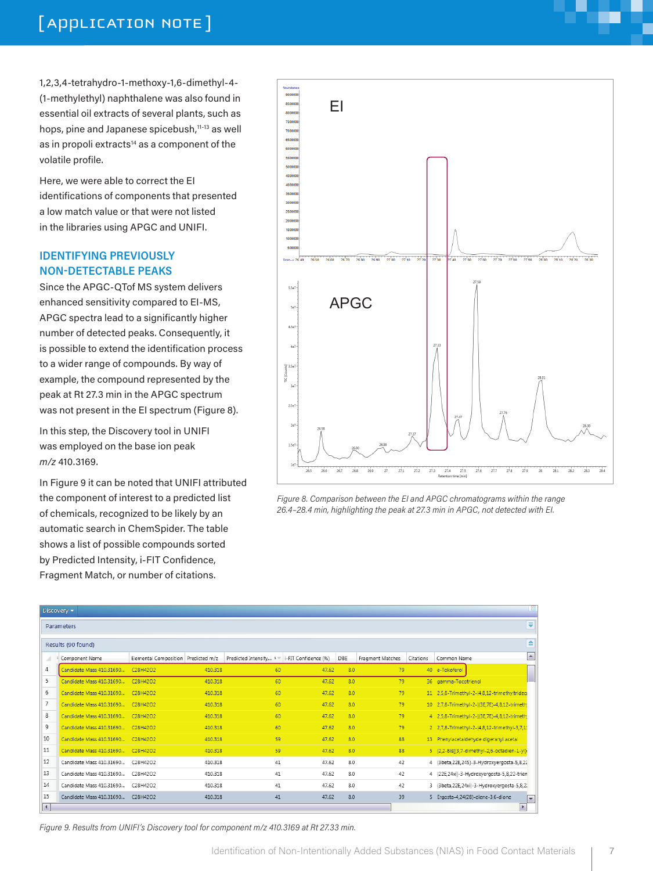

1,2,3,4-tetrahydro-1-methoxy-1,6-dimethyl-4- (1-methylethyl) naphthalene was also found in essential oil extracts of several plants, such as hops, pine and Japanese spicebush,<sup>11-13</sup> as well as in propoli extracts<sup>14</sup> as a component of the volatile profile.

Here, we were able to correct the EI identifications of components that presented a low match value or that were not listed in the libraries using APGC and UNIFI.

## **IDENTIFYING PREVIOUSLY NON-DETECTABLE PEAKS**

Since the APGC-QTof MS system delivers enhanced sensitivity compared to EI-MS, APGC spectra lead to a significantly higher number of detected peaks. Consequently, it is possible to extend the identification process to a wider range of compounds. By way of example, the compound represented by the peak at Rt 27.3 min in the APGC spectrum was not present in the EI spectrum (Figure 8).

In this step, the Discovery tool in UNIFI was employed on the base ion peak *m/z* 410.3169.

In Figure 9 it can be noted that UNIFI attributed the component of interest to a predicted list of chemicals, recognized to be likely by an automatic search in ChemSpider. The table shows a list of possible compounds sorted by Predicted Intensity, i-FIT Confidence, Fragment Match, or number of citations.



*Figure 8. Comparison between the EI and APGC chromatograms within the range 26.4–28.4 min, highlighting the peak at 27.3 min in APGC, not detected with EI.*

|                      | Discovery v              |                                     |         |                       |                      |     |                  |           |                      |                                                  | To                    |
|----------------------|--------------------------|-------------------------------------|---------|-----------------------|----------------------|-----|------------------|-----------|----------------------|--------------------------------------------------|-----------------------|
| <b>Parameters</b>    |                          |                                     |         |                       |                      |     |                  |           |                      | ₹                                                |                       |
|                      | Results (90 found)       |                                     |         |                       |                      |     |                  |           |                      |                                                  | $\triangleq$          |
|                      | Component Name           | Elemental Composition Predicted m/z |         | Predicted Intensity 1 | i-FIT Confidence (%) | DBE | Fragment Matches | Citations | Common Name          |                                                  | $\blacktriangle$      |
| 4                    | Candidate Mass 410.31690 | C28H42O2                            | 410.318 | 60                    | 47.62                | 8.0 | 79               |           | 40 e-Tokoferol       |                                                  |                       |
| 5                    | Candidate Mass 410.31690 | C28H42O2                            | 410.318 | 60                    | 47.62                | 8.0 | 79               |           | 36 gamma-Tocotrienol |                                                  |                       |
| 6                    | Candidate Mass 410.31690 | C28H42O2                            | 410.318 | 60                    | 47.62                | 8.0 | 79               |           |                      | 11 2.5.8-Trimethyl-2-(4.8.12-trimethyltrideci    |                       |
| 7                    | Candidate Mass 410.31690 | C28H42O2                            | 410.318 | 60                    | 47.62                | 8.0 | 79               |           |                      | 10 2.7.8-Trimethyl-2-[(3E.7E)-4.8.12-trimeth     |                       |
| 8                    | Candidate Mass 410.31690 | C28H42O2                            | 410.318 | 60                    | 47.62                | 8.0 | 79               |           |                      | 4 2.5.8-Trimethyl-2-[(3E.7E)-4.8.12-trimeth      |                       |
| 9                    | Candidate Mass 410.31690 | C28H42O2                            | 410.318 | 60                    | 47.62                | 8.0 | 79               |           |                      | 2 2.7.8-Trimethyl-2-(4.8.12-trimethyl-3.7.1)     |                       |
| 10                   | Candidate Mass 410.31690 | C28H42O2                            | 410.318 | 59                    | 47.62                | 8.0 | 88               |           |                      | 13 Phenylacetaldehyde digeranyl acetal           |                       |
| 11                   | Candidate Mass 410.31690 | C28H42O2                            | 410.318 | 59                    | 47.62                | 8.0 | 88               |           |                      | 5 {2,2-Bis[(3,7-dimethyl-2,6-octadien-1-yl);     |                       |
| 12                   | Candidate Mass 410.31690 | C28H42O2                            | 410.318 | 41                    | 47.62                | 8.0 | 42               |           |                      | 4 (3beta, 22E, 24S) - 3-Hydroxyergosta-5, 8, 22  |                       |
| 13                   | Candidate Mass 410.31690 | C28H42O2                            | 410.318 | 41                    | 47.62                | 8.0 | 42               |           |                      | 4 (22E,24xi)-3-Hydroxyergosta-5,8,22-trien       |                       |
| 14                   | Candidate Mass 410.31690 | C28H42O2                            | 410.318 | 41                    | 47.62                | 8.0 | 42               |           |                      | 3 (3beta, 22E, 24xi) - 3-Hydroxyergosta-5, 8, 2: |                       |
| 15                   | Candidate Mass 410.31690 | C28H42O2                            | 410.318 | 41                    | 47.62                | 8.0 | 39               |           |                      | 5 Ergosta-4,24(28)-diene-3,6-dione               | $\blacktriangledown$  |
| $\blacktriangleleft$ |                          |                                     |         |                       |                      |     |                  |           |                      |                                                  | $\blacktriangleright$ |

*Figure 9. Results from UNIFI's Discovery tool for component m/z 410.3169 at Rt 27.33 min.*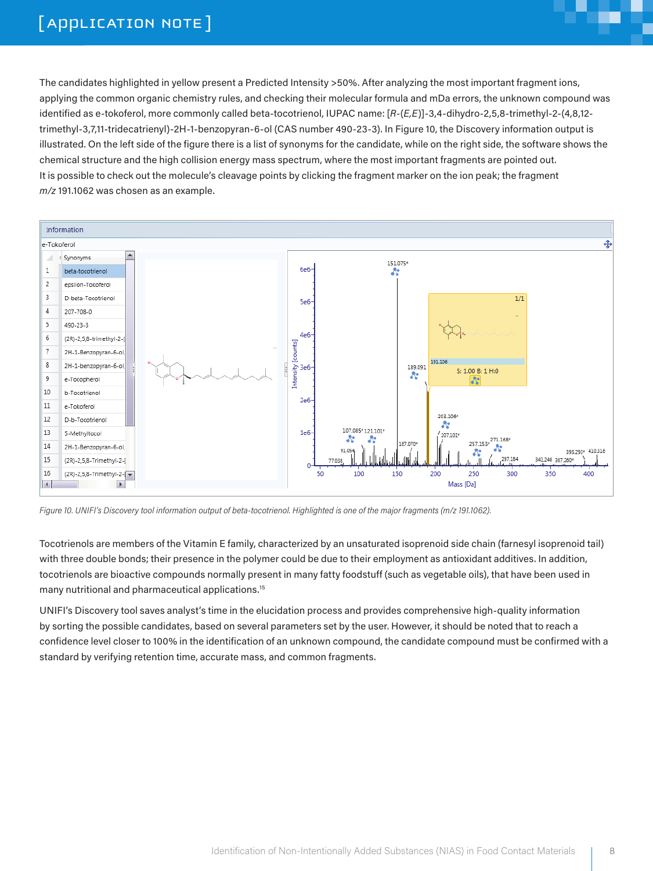

The candidates highlighted in yellow present a Predicted Intensity >50%. After analyzing the most important fragment ions, applying the common organic chemistry rules, and checking their molecular formula and mDa errors, the unknown compound was identified as e-tokoferol, more commonly called beta-tocotrienol, IUPAC name: [*R-*(*E,E*)]-3,4-dihydro-2,5,8-trimethyl-2-(4,8,12 trimethyl-3,7,11-tridecatrienyl)-2H-1-benzopyran-6-ol (CAS number 490-23-3). In Figure 10, the Discovery information output is illustrated. On the left side of the figure there is a list of synonyms for the candidate, while on the right side, the software shows the chemical structure and the high collision energy mass spectrum, where the most important fragments are pointed out. It is possible to check out the molecule's cleavage points by clicking the fragment marker on the ion peak; the fragment *m/z* 191.1062 was chosen as an example.



*Figure 10. UNIFI's Discovery tool information output of beta-tocotrienol. Highlighted is one of the major fragments (m/z 191.1062).*

Tocotrienols are members of the Vitamin E family, characterized by an unsaturated isoprenoid side chain (farnesyl isoprenoid tail) with three double bonds; their presence in the polymer could be due to their employment as antioxidant additives. In addition, tocotrienols are bioactive compounds normally present in many fatty foodstuff (such as vegetable oils), that have been used in many nutritional and pharmaceutical applications.<sup>15</sup>

UNIFI's Discovery tool saves analyst's time in the elucidation process and provides comprehensive high-quality information by sorting the possible candidates, based on several parameters set by the user. However, it should be noted that to reach a confidence level closer to 100% in the identification of an unknown compound, the candidate compound must be confirmed with a standard by verifying retention time, accurate mass, and common fragments.